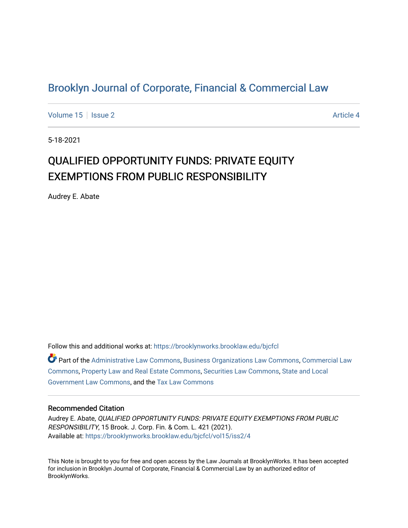## [Brooklyn Journal of Corporate, Financial & Commercial Law](https://brooklynworks.brooklaw.edu/bjcfcl)

[Volume 15](https://brooklynworks.brooklaw.edu/bjcfcl/vol15) Setsue 2 Article 4

5-18-2021

# QUALIFIED OPPORTUNITY FUNDS: PRIVATE EQUITY EXEMPTIONS FROM PUBLIC RESPONSIBILITY

Audrey E. Abate

Follow this and additional works at: [https://brooklynworks.brooklaw.edu/bjcfcl](https://brooklynworks.brooklaw.edu/bjcfcl?utm_source=brooklynworks.brooklaw.edu%2Fbjcfcl%2Fvol15%2Fiss2%2F4&utm_medium=PDF&utm_campaign=PDFCoverPages) Part of the [Administrative Law Commons,](http://network.bepress.com/hgg/discipline/579?utm_source=brooklynworks.brooklaw.edu%2Fbjcfcl%2Fvol15%2Fiss2%2F4&utm_medium=PDF&utm_campaign=PDFCoverPages) [Business Organizations Law Commons](http://network.bepress.com/hgg/discipline/900?utm_source=brooklynworks.brooklaw.edu%2Fbjcfcl%2Fvol15%2Fiss2%2F4&utm_medium=PDF&utm_campaign=PDFCoverPages), [Commercial Law](http://network.bepress.com/hgg/discipline/586?utm_source=brooklynworks.brooklaw.edu%2Fbjcfcl%2Fvol15%2Fiss2%2F4&utm_medium=PDF&utm_campaign=PDFCoverPages) [Commons](http://network.bepress.com/hgg/discipline/586?utm_source=brooklynworks.brooklaw.edu%2Fbjcfcl%2Fvol15%2Fiss2%2F4&utm_medium=PDF&utm_campaign=PDFCoverPages), [Property Law and Real Estate Commons](http://network.bepress.com/hgg/discipline/897?utm_source=brooklynworks.brooklaw.edu%2Fbjcfcl%2Fvol15%2Fiss2%2F4&utm_medium=PDF&utm_campaign=PDFCoverPages), [Securities Law Commons](http://network.bepress.com/hgg/discipline/619?utm_source=brooklynworks.brooklaw.edu%2Fbjcfcl%2Fvol15%2Fiss2%2F4&utm_medium=PDF&utm_campaign=PDFCoverPages), [State and Local](http://network.bepress.com/hgg/discipline/879?utm_source=brooklynworks.brooklaw.edu%2Fbjcfcl%2Fvol15%2Fiss2%2F4&utm_medium=PDF&utm_campaign=PDFCoverPages) [Government Law Commons,](http://network.bepress.com/hgg/discipline/879?utm_source=brooklynworks.brooklaw.edu%2Fbjcfcl%2Fvol15%2Fiss2%2F4&utm_medium=PDF&utm_campaign=PDFCoverPages) and the [Tax Law Commons](http://network.bepress.com/hgg/discipline/898?utm_source=brooklynworks.brooklaw.edu%2Fbjcfcl%2Fvol15%2Fiss2%2F4&utm_medium=PDF&utm_campaign=PDFCoverPages) 

### Recommended Citation

Audrey E. Abate, QUALIFIED OPPORTUNITY FUNDS: PRIVATE EQUITY EXEMPTIONS FROM PUBLIC RESPONSIBILITY, 15 Brook. J. Corp. Fin. & Com. L. 421 (2021). Available at: [https://brooklynworks.brooklaw.edu/bjcfcl/vol15/iss2/4](https://brooklynworks.brooklaw.edu/bjcfcl/vol15/iss2/4?utm_source=brooklynworks.brooklaw.edu%2Fbjcfcl%2Fvol15%2Fiss2%2F4&utm_medium=PDF&utm_campaign=PDFCoverPages)

This Note is brought to you for free and open access by the Law Journals at BrooklynWorks. It has been accepted for inclusion in Brooklyn Journal of Corporate, Financial & Commercial Law by an authorized editor of BrooklynWorks.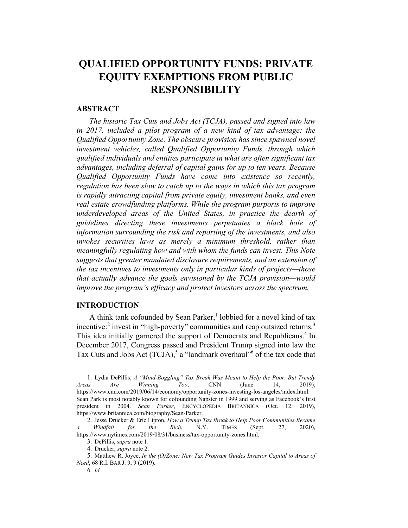## 4UALIFIED OPPORTUNITY FUNDS: PRIVATE EQUITY EXEMPTIONS FROM PUBLIC RESPONSIBILITY

#### ABSTRACT

The historic Tax Cuts and Jobs Act (TCJA), passed and signed into law in 2017, included a pilot program of a new kind of tax advantage: the Qualified Opportunity Zone. The obscure provision has since spawned novel investment vehicles, called Qualified Opportunity Funds, through which qualified individuals and entities participate in what are often significant tax advantages, including deferral of capital gains for up to ten years. Because Qualified Opportunity Funds have come into existence so recently, regulation has been slow to catch up to the ways in which this tax program is rapidly attracting capital from private equity, investment banks, and even real estate crowdfunding platforms. While the program purports to improve underdeveloped areas of the United States, in practice the dearth of guidelines directing these investments perpetuates a black hole of information surrounding the risk and reporting of the investments, and also invokes securities laws as merely a minimum threshold, rather than meaningfully regulating how and with whom the funds can invest. This Note suggests that greater mandated disclosure requirements, and an extension of the tax incentives to investments only in particular kinds of projects—those that actually advance the goals envisioned by the TCJA provision—would improve the program's efficacy and protect investors across the spectrum.

## INTRODUCTION

A think tank cofounded by Sean Parker,<sup>1</sup> lobbied for a novel kind of tax incentive:<sup>2</sup> invest in "high-poverty" communities and reap outsized returns.<sup>3</sup> This idea initially garnered the support of Democrats and Republicans.<sup>4</sup> In December 2017, Congress passed and President Trump signed into law the Tax Cuts and Jobs Act  $(TCIA)$ ,<sup>5</sup> a "landmark overhaul"<sup>6</sup> of the tax code that

<sup>1.</sup> Lydia DePillis, A "Mind-Boggling" Tax Break Was Meant to Help the Poor. But Trendy Areas Are Winning Too, CNN (June 14, 2019), https://www.cnn.com/2019/06/14/economy/opportunity-zones-investing-los-angeles/index.html. Sean Park is most notably known for cofounding Napster in 1999 and serving as Facebook's first president in 2004. Sean Parker, ENCYCLOPEDIA BRITANNICA (Oct. 12, 2019), https://www.britannica.com/biography/Sean-Parker.

<sup>2.</sup> Jesse Drucker & Eric Lipton, How a Trump Tax Break to Help Poor Communities Became a Windfall for the Rich, N.Y. TIMES (Sept. 27, 2020), https://www.nytimes.com/2019/08/31/business/tax-opportunity-zones.html.

<sup>3.</sup> DePillis, supra note 1.

<sup>4.</sup> Drucker, supra note 2.

<sup>5.</sup> Matthew R. Joyce, In the (O)Zone: New Tax Program Guides Investor Capital to Areas of Need, 68 R.I. BAR J. 9, 9 (2019).

<sup>6</sup>. Id.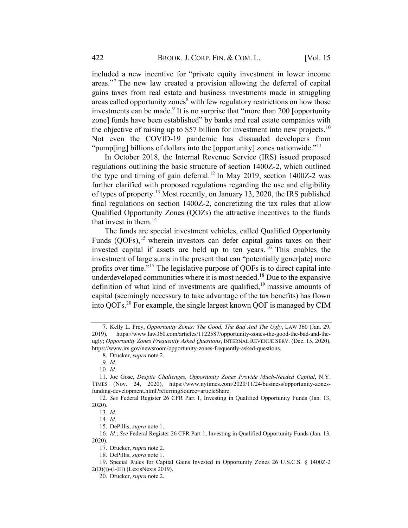included a new incentive for "private equity investment in lower income areas."<sup>7</sup> The new law created a provision allowing the deferral of capital gains taxes from real estate and business investments made in struggling areas called opportunity zones<sup>8</sup> with few regulatory restrictions on how those investments can be made.<sup>9</sup> It is no surprise that "more than 200 [opportunity zone] funds have been established" by banks and real estate companies with the objective of raising up to \$57 billion for investment into new projects.<sup>10</sup> Not even the COVID-19 pandemic has dissuaded developers from "pump[ing] billions of dollars into the [opportunity] zones nationwide."<sup>11</sup>

In October 2018, the Internal Revenue Service (IRS) issued proposed regulations outlining the basic structure of section 1400Z-2, which outlined the type and timing of gain deferral.<sup>12</sup> In May 2019, section 1400Z-2 was further clarified with proposed regulations regarding the use and eligibility of types of property.13 Most recently, on January 13, 2020, the IRS published final regulations on section 1400Z-2, concretizing the tax rules that allow Qualified Opportunity Zones (QOZs) the attractive incentives to the funds that invest in them.<sup>14</sup>

The funds are special investment vehicles, called Qualified Opportunity Funds  $(QOFs)$ ,<sup>15</sup> wherein investors can defer capital gains taxes on their invested capital if assets are held up to ten years. <sup>16</sup> This enables the investment of large sums in the present that can "potentially gener[ate] more profits over time."<sup>17</sup> The legislative purpose of QOFs is to direct capital into underdeveloped communities where it is most needed.<sup>18</sup> Due to the expansive definition of what kind of investments are qualified,  $19$  massive amounts of capital (seemingly necessary to take advantage of the tax benefits) has flown into QOFs. <sup>20</sup> For example, the single largest known QOF is managed by CIM

<sup>7.</sup> Kelly L. Frey, Opportunity Zones: The Good, The Bad And The Ugly, LAW 360 (Jan. 29, 2019), https://www.law360.com/articles/1122587/opportunity-zones-the-good-the-bad-and-theugly; Opportunity Zones Frequently Asked Questions, INTERNAL REVENUE SERV. (Dec. 15, 2020), https://www.irs.gov/newsroom/opportunity-zones-frequently-asked-questions.

<sup>8.</sup> Drucker, supra note 2.

<sup>9</sup>. Id.

<sup>10</sup>. Id.

<sup>11.</sup> Joe Gose, Despite Challenges, Opportunity Zones Provide Much-Needed Capital, N.Y. TIMES (Nov. 24, 2020), https://www.nytimes.com/2020/11/24/business/opportunity-zonesfunding-development.html?referringSource=articleShare.

<sup>12</sup>. See Federal Register 26 CFR Part 1, Investing in Qualified Opportunity Funds (Jan. 13, 2020).

<sup>13</sup>. Id.

<sup>14</sup>. Id.

<sup>15.</sup> DePillis, supra note 1.

<sup>16</sup>. Id.; See Federal Register 26 CFR Part 1, Investing in Qualified Opportunity Funds (Jan. 13, 2020).

<sup>17.</sup> Drucker, supra note 2.

<sup>18.</sup> DePillis, supra note 1.

<sup>19.</sup> Special Rules for Capital Gains Invested in Opportunity Zones 26 U.S.C.S. § 1400Z-2 2(D)(i)-(I-III) (LexisNexis 2019).

<sup>20.</sup> Drucker, supra note 2.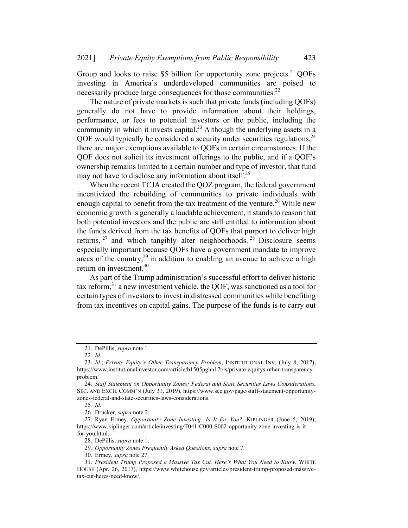Group and looks to raise \$5 billion for opportunity zone projects.<sup>21</sup> QOFs investing in America's underdeveloped communities are poised to necessarily produce large consequences for those communities. $^{22}$ 

The nature of private markets is such that private funds (including QOFs) generally do not have to provide information about their holdings, performance, or fees to potential investors or the public, including the community in which it invests capital.<sup>23</sup> Although the underlying assets in a QOF would typically be considered a security under securities regulations,  $24$ there are major exemptions available to QOFs in certain circumstances. If the QOF does not solicit its investment offerings to the public, and if a QOF's ownership remains limited to a certain number and type of investor, that fund may not have to disclose any information about itself.<sup>25</sup>

When the recent TCJA created the QOZ program, the federal government incentivized the rebuilding of communities to private individuals with enough capital to benefit from the tax treatment of the venture.<sup>26</sup> While new economic growth is generally a laudable achievement, it stands to reason that both potential investors and the public are still entitled to information about the funds derived from the tax benefits of QOFs that purport to deliver high returns,  $27$  and which tangibly alter neighborhoods.  $28$  Disclosure seems especially important because QOFs have a government mandate to improve areas of the country,<sup>29</sup> in addition to enabling an avenue to achieve a high return on investment. 30

As part of the Trump administration's successful effort to deliver historic tax reform, $31$  a new investment vehicle, the OOF, was sanctioned as a tool for certain types of investors to invest in distressed communities while benefiting from tax incentives on capital gains. The purpose of the funds is to carry out

<sup>21.</sup> DePillis, supra note 1.

<sup>22</sup>. Id.

<sup>23</sup>. Id.; Private Equity's Other Transparency Problem, INSTITUTIONAL INV. (July 8, 2017), https://www.institutionalinvestor.com/article/b1505pghn17t4s/private-equitys-other-transparencyproblem.

<sup>24</sup>. Staff Statement on Opportunity Zones: Federal and State Securities Laws Considerations, SEC. AND EXCH. COMM'N (July 31, 2019), https://www.sec.gov/page/staff-statement-opportunityzones-federal-and-state-securities-laws-considerations.

<sup>25</sup>. Id.

<sup>26.</sup> Drucker, supra note 2.

<sup>27.</sup> Ryan Ermey, Opportunity Zone Investing: Is It for You?, KIPLINGER (June 5, 2019), https://www.kiplinger.com/article/investing/T041-C000-S002-opportunity-zone-investing-is-itfor-you.html.

<sup>28.</sup> DePillis, supra note 1.

<sup>29</sup>. Opportunity Zones Frequently Asked Questions, supra note 7.

<sup>30.</sup> Ermey, supra note 27.

<sup>31</sup>. President Trump Proposed a Massive Tax Cut. Here's What You Need to Know, WHITE HOUSE (Apr. 26, 2017), https://www.whitehouse.gov/articles/president-trump-proposed-massivetax-cut-heres-need-know/.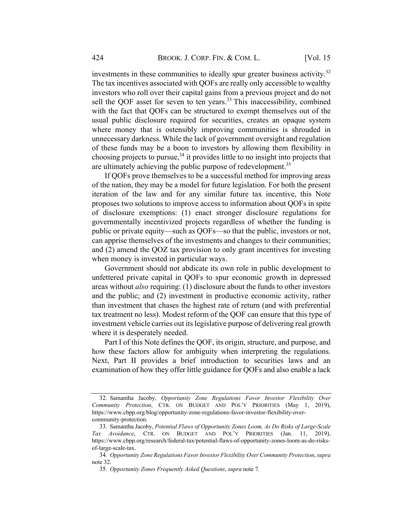investments in these communities to ideally spur greater business activity.<sup>32</sup> The tax incentives associated with QOFs are really only accessible to wealthy investors who roll over their capital gains from a previous project and do not sell the QOF asset for seven to ten years.<sup>33</sup> This inaccessibility, combined with the fact that QOFs can be structured to exempt themselves out of the usual public disclosure required for securities, creates an opaque system where money that is ostensibly improving communities is shrouded in unnecessary darkness. While the lack of government oversight and regulation of these funds may be a boon to investors by allowing them flexibility in choosing projects to pursue,  $34$  it provides little to no insight into projects that are ultimately achieving the public purpose of redevelopment.<sup>35</sup>

If QOFs prove themselves to be a successful method for improving areas of the nation, they may be a model for future legislation. For both the present iteration of the law and for any similar future tax incentive, this Note proposes two solutions to improve access to information about QOFs in spite of disclosure exemptions: (1) enact stronger disclosure regulations for governmentally incentivized projects regardless of whether the funding is public or private equity—such as QOFs—so that the public, investors or not, can apprise themselves of the investments and changes to their communities; and (2) amend the QOZ tax provision to only grant incentives for investing when money is invested in particular ways.

Government should not abdicate its own role in public development to unfettered private capital in QOFs to spur economic growth in depressed areas without also requiring: (1) disclosure about the funds to other investors and the public; and (2) investment in productive economic activity, rather than investment that chases the highest rate of return (and with preferential tax treatment no less). Modest reform of the QOF can ensure that this type of investment vehicle carries out itslegislative purpose of delivering real growth where it is desperately needed.

Part I of this Note defines the QOF, its origin, structure, and purpose, and how these factors allow for ambiguity when interpreting the regulations. Next, Part II provides a brief introduction to securities laws and an examination of how they offer little guidance for QOFs and also enable a lack

<sup>32.</sup> Samantha Jacoby, Opportunity Zone Regulations Favor Investor Flexibility Over Community Protection, CTR. ON BUDGET AND POL'Y PRIORITIES (May 1, 2019), https://www.cbpp.org/blog/opportunity-zone-regulations-favor-investor-flexibility-overcommunity-protection.

<sup>33.</sup> Samantha Jacoby, Potential Flaws of Opportunity Zones Loom, As Do Risks of Large-Scale Tax Avoidance, CTR. ON BUDGET AND POL'Y PRIORITIES (Jan. 11, 2019), https://www.cbpp.org/research/federal-tax/potential-flaws-of-opportunity-zones-loom-as-do-risksof-large-scale-tax.

<sup>34.</sup> Opportunity Zone Regulations Favor Investor Flexibility Over Community Protection, supra note 32.

<sup>35</sup>. Opportunity Zones Frequently Asked Questions, supra note 7.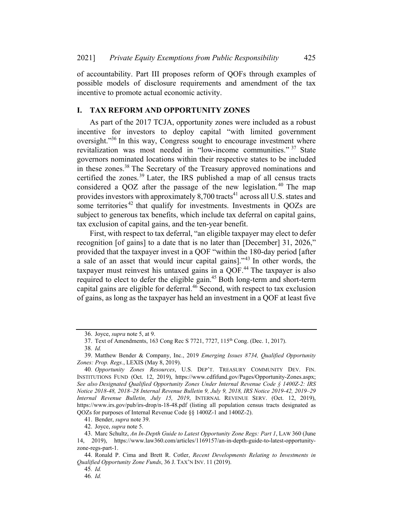of accountability. Part III proposes reform of QOFs through examples of possible models of disclosure requirements and amendment of the tax incentive to promote actual economic activity.

## I. TAX REFORM AND OPPORTUNITY ZONES

As part of the 2017 TCJA, opportunity zones were included as a robust incentive for investors to deploy capital "with limited government oversight."<sup>36</sup> In this way, Congress sought to encourage investment where revitalization was most needed in "low-income communities." <sup>37</sup> State governors nominated locations within their respective states to be included in these zones.<sup>38</sup> The Secretary of the Treasury approved nominations and certified the zones. <sup>39</sup> Later, the IRS published a map of all census tracts considered a QOZ after the passage of the new legislation. <sup>40</sup> The map provides investors with approximately 8,700 tracts<sup>41</sup> across all U.S. states and some territories<sup>42</sup> that qualify for investments. Investments in QOZs are subject to generous tax benefits, which include tax deferral on capital gains, tax exclusion of capital gains, and the ten-year benefit.

First, with respect to tax deferral, "an eligible taxpayer may elect to defer recognition [of gains] to a date that is no later than [December] 31, 2026," provided that the taxpayer invest in a QOF "within the 180-day period [after a sale of an asset that would incur capital gains]."<sup>43</sup> In other words, the taxpayer must reinvest his untaxed gains in a QOF.<sup>44</sup> The taxpayer is also required to elect to defer the eligible gain.<sup>45</sup> Both long-term and short-term capital gains are eligible for deferral. <sup>46</sup> Second, with respect to tax exclusion of gains, as long as the taxpayer has held an investment in a QOF at least five

41. Bender, supra note 39.

42. Joyce, supra note 5.

<sup>36.</sup> Joyce, supra note 5, at 9.

<sup>37.</sup> Text of Amendments, 163 Cong Rec S 7721, 7727, 115th Cong. (Dec. 1, 2017).

<sup>38</sup>. Id.

<sup>39.</sup> Matthew Bender & Company, Inc., 2019 Emerging Issues 8734, Qualified Opportunity Zones: Prop. Regs., LEXIS (May 8, 2019).

<sup>40</sup>. Opportunity Zones Resources, U.S. DEP'T. TREASURY COMMUNITY DEV. FIN. INSTITUTIONS FUND (Oct. 12, 2019), https://www.cdfifund.gov/Pages/Opportunity-Zones.aspx; See also Designated Qualified Opportunity Zones Under Internal Revenue Code § 1400Z-2: IRS Notice 2018-48, 2018–28 Internal Revenue Bulletin 9, July 9, 2018, IRS Notice 2019-42, 2019–29 Internal Revenue Bulletin, July 15, 2019, INTERNAL REVENUE SERV. (Oct. 12, 2019), https://www.irs.gov/pub/irs-drop/n-18-48.pdf (listing all population census tracts designated as QOZs for purposes of Internal Revenue Code §§ 1400Z-1 and 1400Z-2).

<sup>43.</sup> Marc Schultz, An In-Depth Guide to Latest Opportunity Zone Regs: Part 1, LAW 360 (June 14, 2019), https://www.law360.com/articles/1169157/an-in-depth-guide-to-latest-opportunityzone-regs-part-1.

<sup>44.</sup> Ronald P. Cima and Brett R. Cotler, Recent Developments Relating to Investments in Qualified Opportunity Zone Funds, 36 J. TAX'N INV. 11 (2019).

<sup>45</sup>. Id.

<sup>46</sup>. Id.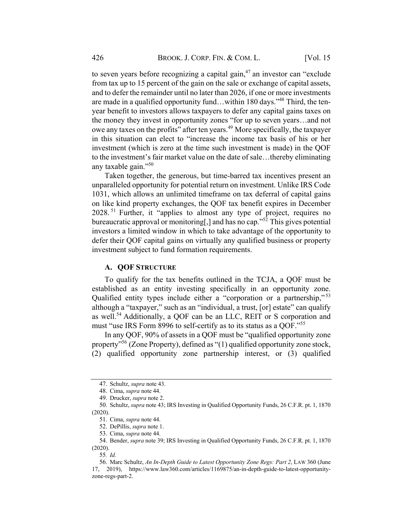to seven years before recognizing a capital gain, $^{47}$  an investor can "exclude" from tax up to 15 percent of the gain on the sale or exchange of capital assets, and to defer the remainder until no later than 2026, if one or more investments are made in a qualified opportunity fund...within 180 days."<sup>48</sup> Third, the tenyear benefit to investors allows taxpayers to defer any capital gains taxes on the money they invest in opportunity zones "for up to seven years…and not owe any taxes on the profits" after ten years.<sup>49</sup> More specifically, the taxpayer in this situation can elect to "increase the income tax basis of his or her investment (which is zero at the time such investment is made) in the QOF to the investment's fair market value on the date of sale…thereby eliminating any taxable gain."<sup>50</sup>

Taken together, the generous, but time-barred tax incentives present an unparalleled opportunity for potential return on investment. Unlike IRS Code 1031, which allows an unlimited timeframe on tax deferral of capital gains on like kind property exchanges, the QOF tax benefit expires in December 2028.<sup>51</sup> Further, it "applies to almost any type of project, requires no bureaucratic approval or monitoring, and has no cap.<sup>"52</sup> This gives potential investors a limited window in which to take advantage of the opportunity to defer their QOF capital gains on virtually any qualified business or property investment subject to fund formation requirements.

#### A. QOF STRUCTURE

To qualify for the tax benefits outlined in the TCJA, a QOF must be established as an entity investing specifically in an opportunity zone. Qualified entity types include either a "corporation or a partnership,"<sup>53</sup> although a "taxpayer," such as an "individual, a trust, [or] estate" can qualify as well.<sup>54</sup> Additionally, a QOF can be an LLC, REIT or S corporation and must "use IRS Form 8996 to self-certify as to its status as a QOF."<sup>55</sup>

In any QOF, 90% of assets in a QOF must be "qualified opportunity zone property<sup> $56$ </sup> (Zone Property), defined as "(1) qualified opportunity zone stock, (2) qualified opportunity zone partnership interest, or (3) qualified

55. Id.

<sup>47.</sup> Schultz, supra note 43.

<sup>48.</sup> Cima, supra note 44.

<sup>49.</sup> Drucker, supra note 2.

<sup>50.</sup> Schultz, supra note 43; IRS Investing in Qualified Opportunity Funds, 26 C.F.R. pt. 1, 1870 (2020).

<sup>51.</sup> Cima, supra note 44.

<sup>52.</sup> DePillis, supra note 1.

<sup>53.</sup> Cima, supra note 44.

<sup>54.</sup> Bender, supra note 39; IRS Investing in Qualified Opportunity Funds, 26 C.F.R. pt. 1, 1870 (2020).

<sup>56.</sup> Marc Schultz, An In-Depth Guide to Latest Opportunity Zone Regs: Part 2, LAW 360 (June 17, 2019), https://www.law360.com/articles/1169875/an-in-depth-guide-to-latest-opportunityzone-regs-part-2.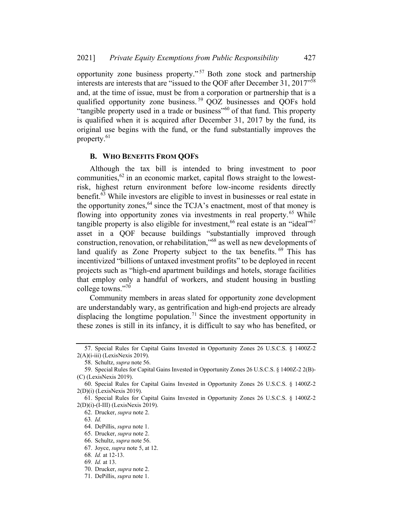opportunity zone business property." <sup>57</sup> Both zone stock and partnership interests are interests that are "issued to the QOF after December 31, 2017"58 and, at the time of issue, must be from a corporation or partnership that is a qualified opportunity zone business.<sup>59</sup> QOZ businesses and QOFs hold "tangible property used in a trade or business"<sup>60</sup> of that fund. This property is qualified when it is acquired after December 31, 2017 by the fund, its original use begins with the fund, or the fund substantially improves the property.<sup>61</sup>

#### **B. WHO BENEFITS FROM QOFS**

Although the tax bill is intended to bring investment to poor communities,  $62$  in an economic market, capital flows straight to the lowestrisk, highest return environment before low-income residents directly benefit.63 While investors are eligible to invest in businesses or real estate in the opportunity zones,  $64$  since the TCJA's enactment, most of that money is flowing into opportunity zones via investments in real property.<sup>65</sup> While tangible property is also eligible for investment,  $66$  real estate is an "ideal"  $67$ asset in a QOF because buildings "substantially improved through construction, renovation, or rehabilitation,"68 as well as new developments of land qualify as Zone Property subject to the tax benefits. <sup>69</sup> This has incentivized "billions of untaxed investment profits" to be deployed in recent projects such as "high-end apartment buildings and hotels, storage facilities that employ only a handful of workers, and student housing in bustling college towns."<sup>70</sup>

Community members in areas slated for opportunity zone development are understandably wary, as gentrification and high-end projects are already displacing the longtime population.<sup>71</sup> Since the investment opportunity in these zones is still in its infancy, it is difficult to say who has benefited, or

<sup>57.</sup> Special Rules for Capital Gains Invested in Opportunity Zones 26 U.S.C.S. § 1400Z-2 2(A)(i-iii) (LexisNexis 2019).

<sup>58.</sup> Schultz, supra note 56.

<sup>59.</sup> Special Rules for Capital Gains Invested in Opportunity Zones 26 U.S.C.S. § 1400Z-2 2(B)- (C) (LexisNexis 2019).

<sup>60.</sup> Special Rules for Capital Gains Invested in Opportunity Zones 26 U.S.C.S. § 1400Z-2 2(D)(i) (LexisNexis 2019).

<sup>61.</sup> Special Rules for Capital Gains Invested in Opportunity Zones 26 U.S.C.S. § 1400Z-2 2(D)(i)-(I-III) (LexisNexis 2019).

<sup>62.</sup> Drucker, supra note 2.

<sup>63</sup>. Id.

<sup>64.</sup> DePillis, supra note 1.

<sup>65.</sup> Drucker, supra note 2.

<sup>66.</sup> Schultz, supra note 56.

<sup>67.</sup> Joyce, supra note 5, at 12.

<sup>68</sup>. Id. at 12-13.

<sup>69</sup>. Id. at 13.

<sup>70.</sup> Drucker, supra note 2.

<sup>71.</sup> DePillis, supra note 1.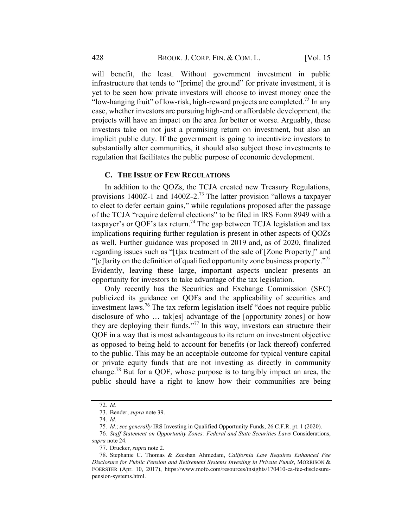will benefit, the least. Without government investment in public infrastructure that tends to "[prime] the ground" for private investment, it is yet to be seen how private investors will choose to invest money once the "low-hanging fruit" of low-risk, high-reward projects are completed.<sup>72</sup> In any case, whether investors are pursuing high-end or affordable development, the projects will have an impact on the area for better or worse. Arguably, these investors take on not just a promising return on investment, but also an implicit public duty. If the government is going to incentivize investors to substantially alter communities, it should also subject those investments to regulation that facilitates the public purpose of economic development.

#### C. THE ISSUE OF FEW REGULATIONS

In addition to the QOZs, the TCJA created new Treasury Regulations, provisions 1400Z-1 and 1400Z-2.<sup>73</sup> The latter provision "allows a taxpayer to elect to defer certain gains," while regulations proposed after the passage of the TCJA "require deferral elections" to be filed in IRS Form 8949 with a taxpayer's or QOF's tax return.<sup>74</sup> The gap between TCJA legislation and tax implications requiring further regulation is present in other aspects of QOZs as well. Further guidance was proposed in 2019 and, as of 2020, finalized regarding issues such as "[t]ax treatment of the sale of [Zone Property]" and "[c]larity on the definition of qualified opportunity zone business property."<sup>75</sup> Evidently, leaving these large, important aspects unclear presents an opportunity for investors to take advantage of the tax legislation.

Only recently has the Securities and Exchange Commission (SEC) publicized its guidance on QOFs and the applicability of securities and investment laws.<sup>76</sup> The tax reform legislation itself "does not require public disclosure of who … tak[es] advantage of the [opportunity zones] or how they are deploying their funds."77 In this way, investors can structure their QOF in a way that is most advantageous to its return on investment objective as opposed to being held to account for benefits (or lack thereof) conferred to the public. This may be an acceptable outcome for typical venture capital or private equity funds that are not investing as directly in community change.<sup>78</sup> But for a QOF, whose purpose is to tangibly impact an area, the public should have a right to know how their communities are being

<sup>72</sup>. Id.

<sup>73.</sup> Bender, supra note 39.

<sup>74</sup>. Id.

<sup>75</sup>. Id.; see generally IRS Investing in Qualified Opportunity Funds, 26 C.F.R. pt. 1 (2020).

<sup>76</sup>. Staff Statement on Opportunity Zones: Federal and State Securities Laws Considerations,

supra note 24.

<sup>77.</sup> Drucker, supra note 2.

<sup>78.</sup> Stephanie C. Thomas & Zeeshan Ahmedani, California Law Requires Enhanced Fee Disclosure for Public Pension and Retirement Systems Investing in Private Funds, MORRISON & FOERSTER (Apr. 10, 2017), https://www.mofo.com/resources/insights/170410-ca-fee-disclosurepension-systems.html.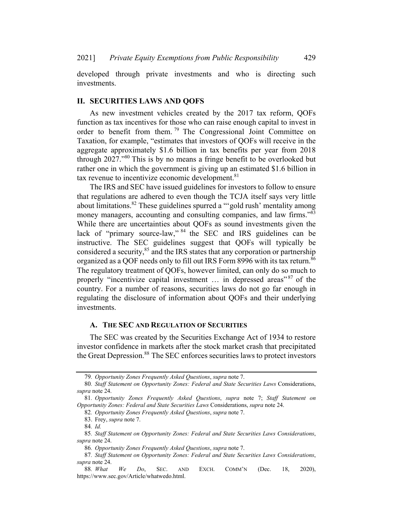developed through private investments and who is directing such investments.

#### II. SECURITIES LAWS AND QOFS

As new investment vehicles created by the 2017 tax reform, QOFs function as tax incentives for those who can raise enough capital to invest in order to benefit from them.<sup>79</sup> The Congressional Joint Committee on Taxation, for example, "estimates that investors of QOFs will receive in the aggregate approximately \$1.6 billion in tax benefits per year from 2018 through 2027.<sup>80</sup> This is by no means a fringe benefit to be overlooked but rather one in which the government is giving up an estimated \$1.6 billion in tax revenue to incentivize economic development.<sup>81</sup>

The IRS and SEC have issued guidelines for investors to follow to ensure that regulations are adhered to even though the TCJA itself says very little about limitations.<sup>82</sup> These guidelines spurred a "'gold rush' mentality among money managers, accounting and consulting companies, and law firms."<sup>83</sup> While there are uncertainties about QOFs as sound investments given the lack of "primary source-law," <sup>84</sup> the SEC and IRS guidelines can be instructive. The SEC guidelines suggest that QOFs will typically be considered a security, $85$  and the IRS states that any corporation or partnership organized as a QOF needs only to fill out IRS Form 8996 with its tax return.<sup>86</sup> The regulatory treatment of QOFs, however limited, can only do so much to properly "incentivize capital investment  $\ldots$  in depressed areas"  $87$  of the country. For a number of reasons, securities laws do not go far enough in regulating the disclosure of information about QOFs and their underlying investments.

#### A. THE SEC AND REGULATION OF SECURITIES

The SEC was created by the Securities Exchange Act of 1934 to restore investor confidence in markets after the stock market crash that precipitated the Great Depression.<sup>88</sup> The SEC enforces securities laws to protect investors

82. Opportunity Zones Frequently Asked Questions, supra note 7.

<sup>79</sup>. Opportunity Zones Frequently Asked Questions, supra note 7.

<sup>80</sup>. Staff Statement on Opportunity Zones: Federal and State Securities Laws Considerations, supra note 24.

<sup>81</sup>. Opportunity Zones Frequently Asked Questions, supra note 7; Staff Statement on Opportunity Zones: Federal and State Securities Laws Considerations, supra note 24.

<sup>83.</sup> Frey, supra note 7.

<sup>84</sup>. Id.

<sup>85</sup>. Staff Statement on Opportunity Zones: Federal and State Securities Laws Considerations, supra note 24.

<sup>86</sup>. Opportunity Zones Frequently Asked Questions, supra note 7.

<sup>87</sup>. Staff Statement on Opportunity Zones: Federal and State Securities Laws Considerations, supra note 24.

<sup>88.</sup> What We Do, SEC. AND EXCH. COMM'N (Dec. 18, 2020), https://www.sec.gov/Article/whatwedo.html.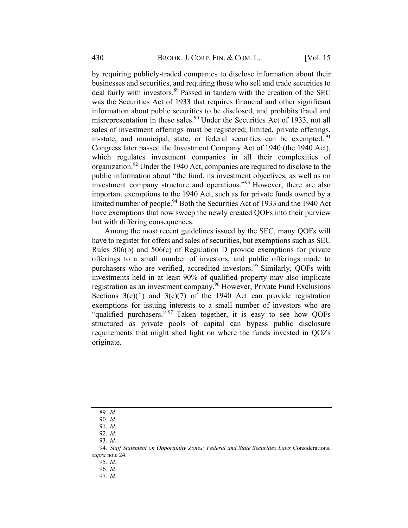by requiring publicly-traded companies to disclose information about their businesses and securities, and requiring those who sell and trade securities to deal fairly with investors.<sup>89</sup> Passed in tandem with the creation of the SEC was the Securities Act of 1933 that requires financial and other significant information about public securities to be disclosed, and prohibits fraud and misrepresentation in these sales.<sup>90</sup> Under the Securities Act of 1933, not all sales of investment offerings must be registered; limited, private offerings, in-state, and municipal, state, or federal securities can be exempted. <sup>91</sup> Congress later passed the Investment Company Act of 1940 (the 1940 Act), which regulates investment companies in all their complexities of organization.<sup>92</sup> Under the 1940 Act, companies are required to disclose to the public information about "the fund, its investment objectives, as well as on investment company structure and operations."<sup>93</sup> However, there are also important exemptions to the 1940 Act, such as for private funds owned by a limited number of people.<sup>94</sup> Both the Securities Act of 1933 and the 1940 Act have exemptions that now sweep the newly created QOFs into their purview but with differing consequences.

Among the most recent guidelines issued by the SEC, many QOFs will have to register for offers and sales of securities, but exemptions such as SEC Rules 506(b) and 506(c) of Regulation D provide exemptions for private offerings to a small number of investors, and public offerings made to purchasers who are verified, accredited investors.<sup>95</sup> Similarly, OOFs with investments held in at least 90% of qualified property may also implicate registration as an investment company.<sup>96</sup> However, Private Fund Exclusions Sections  $3(c)(1)$  and  $3(c)(7)$  of the 1940 Act can provide registration exemptions for issuing interests to a small number of investors who are "qualified purchasers."<sup>97</sup> Taken together, it is easy to see how QOFs structured as private pools of capital can bypass public disclosure requirements that might shed light on where the funds invested in QOZs originate.

<sup>89</sup>. Id.

<sup>90</sup>. Id.

<sup>91</sup>. Id.

<sup>92</sup>. Id.

<sup>93</sup>. Id.

<sup>94.</sup> Staff Statement on Opportunity Zones: Federal and State Securities Laws Considerations, supra note 24.

<sup>95</sup>. Id.

<sup>96</sup>. Id.

<sup>97</sup>. Id.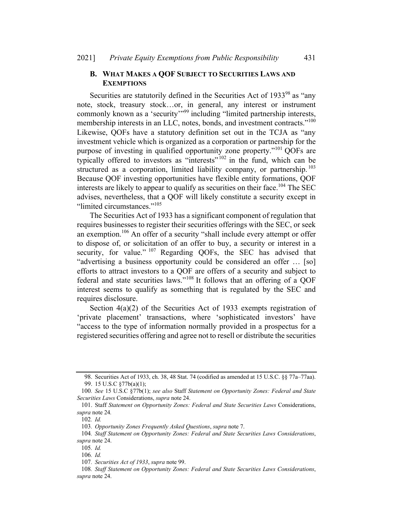### B. WHAT MAKES A QOF SUBJECT TO SECURITIES LAWS AND **EXEMPTIONS**

Securities are statutorily defined in the Securities Act of 1933<sup>98</sup> as "any note, stock, treasury stock…or, in general, any interest or instrument commonly known as a 'security'<sup>"99</sup> including "limited partnership interests, membership interests in an LLC, notes, bonds, and investment contracts."<sup>100</sup> Likewise, QOFs have a statutory definition set out in the TCJA as "any investment vehicle which is organized as a corporation or partnership for the purpose of investing in qualified opportunity zone property."<sup>101</sup> QOFs are typically offered to investors as "interests"  $102$  in the fund, which can be structured as a corporation, limited liability company, or partnership.<sup>103</sup> Because QOF investing opportunities have flexible entity formations, QOF interests are likely to appear to qualify as securities on their face.<sup>104</sup> The SEC advises, nevertheless, that a QOF will likely constitute a security except in "limited circumstances."<sup>105</sup>

The Securities Act of 1933 has a significant component of regulation that requires businesses to register their securities offerings with the SEC, or seek an exemption.<sup>106</sup> An offer of a security "shall include every attempt or offer to dispose of, or solicitation of an offer to buy, a security or interest in a security, for value." <sup>107</sup> Regarding QOFs, the SEC has advised that "advertising a business opportunity could be considered an offer … [so] efforts to attract investors to a QOF are offers of a security and subject to federal and state securities laws."<sup>108</sup> It follows that an offering of a QOF interest seems to qualify as something that is regulated by the SEC and requires disclosure.

Section 4(a)(2) of the Securities Act of 1933 exempts registration of 'private placement' transactions, where 'sophisticated investors' have "access to the type of information normally provided in a prospectus for a registered securities offering and agree not to resell or distribute the securities

<sup>98.</sup> Securities Act of 1933, ch. 38, 48 Stat. 74 (codified as amended at 15 U.S.C. §§ 77a–77aa). 99. 15 U.S.C §77b(a)(1);

<sup>100</sup>. See 15 U.S.C §77b(1); see also Staff Statement on Opportunity Zones: Federal and State Securities Laws Considerations, supra note 24.

<sup>101.</sup> Staff Statement on Opportunity Zones: Federal and State Securities Laws Considerations, supra note 24.

<sup>102</sup>. Id.

<sup>103</sup>. Opportunity Zones Frequently Asked Questions, supra note 7.

<sup>104</sup>. Staff Statement on Opportunity Zones: Federal and State Securities Laws Considerations, supra note 24.

<sup>105</sup>. Id.

<sup>106</sup>. Id.

<sup>107</sup>. Securities Act of 1933, supra note 99.

<sup>108</sup>. Staff Statement on Opportunity Zones: Federal and State Securities Laws Considerations, supra note 24.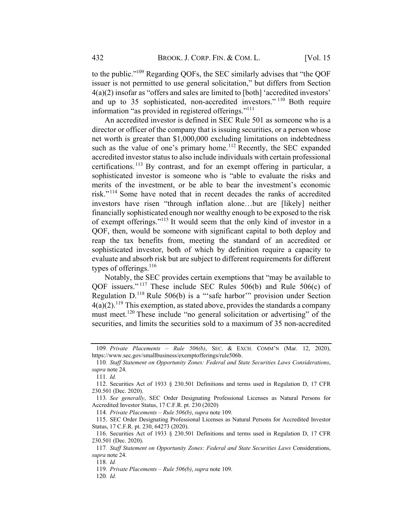to the public."109 Regarding QOFs, the SEC similarly advises that "the QOF issuer is not permitted to use general solicitation," but differs from Section 4(a)(2) insofar as "offers and sales are limited to [both] 'accredited investors' and up to 35 sophisticated, non-accredited investors." <sup>110</sup> Both require information "as provided in registered offerings."<sup>111</sup>

An accredited investor is defined in SEC Rule 501 as someone who is a director or officer of the company that is issuing securities, or a person whose net worth is greater than \$1,000,000 excluding limitations on indebtedness such as the value of one's primary home.<sup>112</sup> Recently, the SEC expanded accredited investor status to also include individuals with certain professional certifications.<sup>113</sup> By contrast, and for an exempt offering in particular, a sophisticated investor is someone who is "able to evaluate the risks and merits of the investment, or be able to bear the investment's economic risk."<sup>114</sup> Some have noted that in recent decades the ranks of accredited investors have risen "through inflation alone…but are [likely] neither financially sophisticated enough nor wealthy enough to be exposed to the risk of exempt offerings."<sup>115</sup> It would seem that the only kind of investor in a QOF, then, would be someone with significant capital to both deploy and reap the tax benefits from, meeting the standard of an accredited or sophisticated investor, both of which by definition require a capacity to evaluate and absorb risk but are subject to different requirements for different types of offerings. $^{116}$ 

Notably, the SEC provides certain exemptions that "may be available to QOF issuers." <sup>117</sup> These include SEC Rules 506(b) and Rule 506(c) of Regulation D.<sup>118</sup> Rule 506(b) is a "'safe harbor'" provision under Section  $4(a)(2)$ .<sup>119</sup> This exemption, as stated above, provides the standards a company must meet.<sup>120</sup> These include "no general solicitation or advertising" of the securities, and limits the securities sold to a maximum of 35 non-accredited

<sup>109</sup>. Private Placements – Rule 506(b), SEC. & EXCH. COMM'N (Mar. 12, 2020), https://www.sec.gov/smallbusiness/exemptofferings/rule506b.

<sup>110</sup>. Staff Statement on Opportunity Zones: Federal and State Securities Laws Considerations, supra note 24.

<sup>111</sup>. Id.

<sup>112.</sup> Securities Act of 1933 § 230.501 Definitions and terms used in Regulation D, 17 CFR 230.501 (Dec. 2020).

<sup>113</sup>. See generally, SEC Order Designating Professional Licenses as Natural Persons for Accredited Investor Status, 17 C.F.R. pt. 230 (2020)

<sup>114</sup>. Private Placements – Rule 506(b), supra note 109.

<sup>115.</sup> SEC Order Designating Professional Licenses as Natural Persons for Accredited Investor Status, 17 C.F.R. pt. 230, 64273 (2020).

<sup>116.</sup> Securities Act of 1933 § 230.501 Definitions and terms used in Regulation D, 17 CFR 230.501 (Dec. 2020).

<sup>117</sup>. Staff Statement on Opportunity Zones: Federal and State Securities Laws Considerations, supra note 24.

<sup>118</sup>. Id.

<sup>119</sup>. Private Placements – Rule 506(b), supra note 109.

<sup>120</sup>. Id.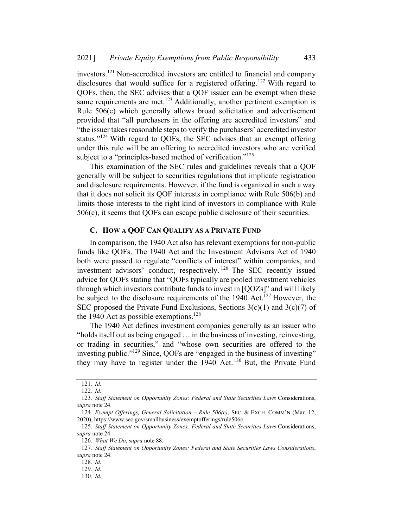investors.<sup>121</sup> Non-accredited investors are entitled to financial and company disclosures that would suffice for a registered offering.<sup>122</sup> With regard to QOFs, then, the SEC advises that a QOF issuer can be exempt when these same requirements are met.<sup>123</sup> Additionally, another pertinent exemption is Rule 506(c) which generally allows broad solicitation and advertisement provided that "all purchasers in the offering are accredited investors" and "the issuer takes reasonable steps to verify the purchasers' accredited investor status."<sup>124</sup> With regard to QOFs, the SEC advises that an exempt offering under this rule will be an offering to accredited investors who are verified subject to a "principles-based method of verification."<sup>125</sup>

This examination of the SEC rules and guidelines reveals that a QOF generally will be subject to securities regulations that implicate registration and disclosure requirements. However, if the fund is organized in such a way that it does not solicit its QOF interests in compliance with Rule 506(b) and limits those interests to the right kind of investors in compliance with Rule 506(c), it seems that QOFs can escape public disclosure of their securities.

#### C. HOW A QOF CAN QUALIFY AS A PRIVATE FUND

In comparison, the 1940 Act also has relevant exemptions for non-public funds like QOFs. The 1940 Act and the Investment Advisors Act of 1940 both were passed to regulate "conflicts of interest" within companies, and investment advisors' conduct, respectively. <sup>126</sup> The SEC recently issued advice for QOFs stating that "QOFs typically are pooled investment vehicles through which investors contribute funds to invest in [QOZs]" and will likely be subject to the disclosure requirements of the 1940 Act.<sup>127</sup> However, the SEC proposed the Private Fund Exclusions, Sections  $3(c)(1)$  and  $3(c)(7)$  of the 1940 Act as possible exemptions.<sup>128</sup>

The 1940 Act defines investment companies generally as an issuer who "holds itself out as being engaged … in the business of investing, reinvesting, or trading in securities," and "whose own securities are offered to the investing public."<sup>129</sup> Since, QOFs are "engaged in the business of investing" they may have to register under the 1940 Act.<sup>130</sup> But, the Private Fund

<sup>121</sup>. Id.

<sup>122</sup>. Id.

<sup>123</sup>. Staff Statement on Opportunity Zones: Federal and State Securities Laws Considerations, supra note 24.

<sup>124</sup>. Exempt Offerings, General Solicitation – Rule 506(c), SEC. & EXCH. COMM'N (Mar. 12, 2020), https://www.sec.gov/smallbusiness/exemptofferings/rule506c.

<sup>125</sup>. Staff Statement on Opportunity Zones: Federal and State Securities Laws Considerations, supra note 24.

<sup>126.</sup> What We Do, supra note 88.

<sup>127</sup>. Staff Statement on Opportunity Zones: Federal and State Securities Laws Considerations, supra note 24.

<sup>128</sup>. Id.

<sup>129</sup>. Id.

<sup>130</sup>. Id.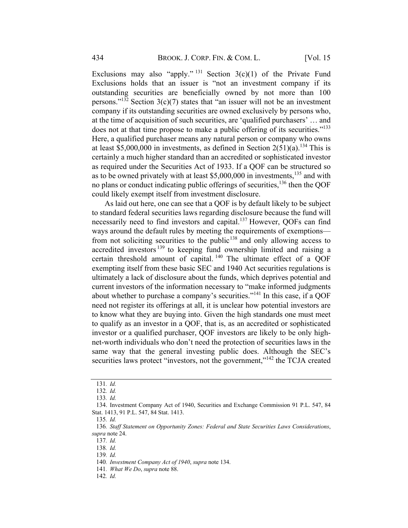Exclusions may also "apply." <sup>131</sup> Section  $3(c)(1)$  of the Private Fund Exclusions holds that an issuer is "not an investment company if its outstanding securities are beneficially owned by not more than 100 persons."<sup>132</sup> Section  $3(c)(7)$  states that "an issuer will not be an investment company if its outstanding securities are owned exclusively by persons who, at the time of acquisition of such securities, are 'qualified purchasers' … and does not at that time propose to make a public offering of its securities."<sup>133</sup> Here, a qualified purchaser means any natural person or company who owns at least \$5,000,000 in investments, as defined in Section  $2(51)(a)$ .<sup>134</sup> This is certainly a much higher standard than an accredited or sophisticated investor as required under the Securities Act of 1933. If a QOF can be structured so as to be owned privately with at least \$5,000,000 in investments, <sup>135</sup> and with no plans or conduct indicating public offerings of securities,  $^{136}$  then the QOF could likely exempt itself from investment disclosure.

As laid out here, one can see that a QOF is by default likely to be subject to standard federal securities laws regarding disclosure because the fund will necessarily need to find investors and capital.<sup>137</sup> However, QOFs can find ways around the default rules by meeting the requirements of exemptions from not soliciting securities to the public<sup>138</sup> and only allowing access to accredited investors<sup>139</sup> to keeping fund ownership limited and raising a certain threshold amount of capital. <sup>140</sup> The ultimate effect of a QOF exempting itself from these basic SEC and 1940 Act securities regulations is ultimately a lack of disclosure about the funds, which deprives potential and current investors of the information necessary to "make informed judgments about whether to purchase a company's securities."<sup>141</sup> In this case, if a QOF need not register its offerings at all, it is unclear how potential investors are to know what they are buying into. Given the high standards one must meet to qualify as an investor in a QOF, that is, as an accredited or sophisticated investor or a qualified purchaser, QOF investors are likely to be only highnet-worth individuals who don't need the protection of securities laws in the same way that the general investing public does. Although the SEC's securities laws protect "investors, not the government,"<sup>142</sup> the TCJA created

<sup>131</sup>. Id.

<sup>132</sup>. Id.

<sup>133</sup>. Id.

<sup>134.</sup> Investment Company Act of 1940, Securities and Exchange Commission 91 P.L. 547, 84 Stat. 1413, 91 P.L. 547, 84 Stat. 1413.

<sup>135</sup>. Id.

<sup>136</sup>. Staff Statement on Opportunity Zones: Federal and State Securities Laws Considerations, supra note 24.

<sup>137</sup>. Id.

<sup>138</sup>. Id.

<sup>139</sup>. Id.

<sup>140</sup>. Investment Company Act of 1940, supra note 134.

<sup>141.</sup> What We Do, supra note 88.

<sup>142</sup>. Id.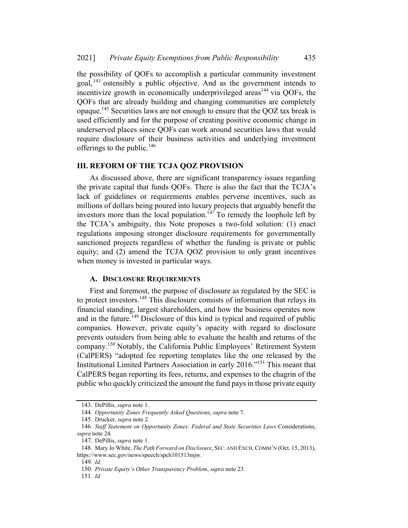the possibility of QOFs to accomplish a particular community investment goal,  $^{143}$  ostensibly a public objective. And as the government intends to incentivize growth in economically underprivileged areas<sup> $144$ </sup> via QOFs, the QOFs that are already building and changing communities are completely opaque.<sup>145</sup> Securities laws are not enough to ensure that the QOZ tax break is used efficiently and for the purpose of creating positive economic change in underserved places since QOFs can work around securities laws that would require disclosure of their business activities and underlying investment offerings to the public. $146$ 

#### **III. REFORM OF THE TCJA QOZ PROVISION**

As discussed above, there are significant transparency issues regarding the private capital that funds QOFs. There is also the fact that the TCJA's lack of guidelines or requirements enables perverse incentives, such as millions of dollars being poured into luxury projects that arguably benefit the investors more than the local population.<sup>147</sup> To remedy the loophole left by the TCJA's ambiguity, this Note proposes a two-fold solution: (1) enact regulations imposing stronger disclosure requirements for governmentally sanctioned projects regardless of whether the funding is private or public equity; and (2) amend the TCJA QOZ provision to only grant incentives when money is invested in particular ways.

## A. DISCLOSURE REQUIREMENTS

First and foremost, the purpose of disclosure as regulated by the SEC is to protect investors.<sup>148</sup> This disclosure consists of information that relays its financial standing, largest shareholders, and how the business operates now and in the future.<sup>149</sup> Disclosure of this kind is typical and required of public companies. However, private equity's opacity with regard to disclosure prevents outsiders from being able to evaluate the health and returns of the company.<sup>150</sup> Notably, the California Public Employees' Retirement System (CalPERS) "adopted fee reporting templates like the one released by the Institutional Limited Partners Association in early 2016."151 This meant that CalPERS began reporting its fees, returns, and expenses to the chagrin of the public who quickly criticized the amount the fund pays in those private equity

<sup>143.</sup> DePillis, supra note 1.

<sup>144</sup>. Opportunity Zones Frequently Asked Questions, supra note 7.

<sup>145.</sup> Drucker, supra note 2.

<sup>146</sup>. Staff Statement on Opportunity Zones: Federal and State Securities Laws Considerations, supra note 24.

<sup>147.</sup> DePillis, supra note 1.

<sup>148.</sup> Mary Jo White, The Path Forward on Disclosure, SEC. AND EXCH. COMM'N (Oct. 15, 2013), https://www.sec.gov/news/speech/spch101513mjw.

<sup>149</sup>. Id.

<sup>150</sup>. Private Equity's Other Transparency Problem, supra note 23.

<sup>151</sup>. Id.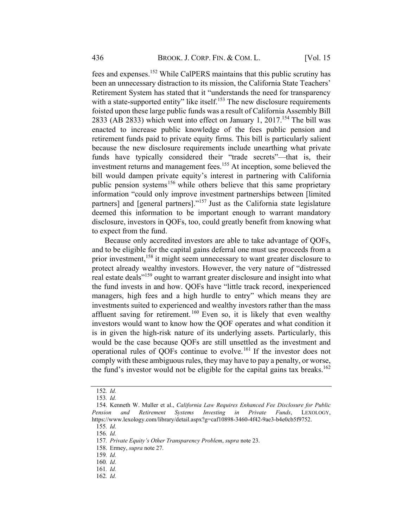fees and expenses.<sup>152</sup> While CalPERS maintains that this public scrutiny has been an unnecessary distraction to its mission, the California State Teachers' Retirement System has stated that it "understands the need for transparency with a state-supported entity" like itself.<sup>153</sup> The new disclosure requirements foisted upon these large public funds was a result of California Assembly Bill 2833 (AB 2833) which went into effect on January 1, 2017.<sup>154</sup> The bill was enacted to increase public knowledge of the fees public pension and retirement funds paid to private equity firms. This bill is particularly salient because the new disclosure requirements include unearthing what private funds have typically considered their "trade secrets"—that is, their investment returns and management fees. <sup>155</sup> At inception, some believed the bill would dampen private equity's interest in partnering with California public pension systems<sup>156</sup> while others believe that this same proprietary information "could only improve investment partnerships between [limited partners] and [general partners]."<sup>157</sup> Just as the California state legislature deemed this information to be important enough to warrant mandatory disclosure, investors in QOFs, too, could greatly benefit from knowing what to expect from the fund.

Because only accredited investors are able to take advantage of QOFs, and to be eligible for the capital gains deferral one must use proceeds from a prior investment,<sup>158</sup> it might seem unnecessary to want greater disclosure to protect already wealthy investors. However, the very nature of "distressed real estate deals<sup>"159</sup> ought to warrant greater disclosure and insight into what the fund invests in and how. QOFs have "little track record, inexperienced managers, high fees and a high hurdle to entry" which means they are investments suited to experienced and wealthy investors rather than the mass affluent saving for retirement.  $160$  Even so, it is likely that even wealthy investors would want to know how the QOF operates and what condition it is in given the high-risk nature of its underlying assets. Particularly, this would be the case because QOFs are still unsettled as the investment and operational rules of QOFs continue to evolve.<sup>161</sup> If the investor does not comply with these ambiguous rules, they may have to pay a penalty, or worse, the fund's investor would not be eligible for the capital gains tax breaks.<sup>162</sup>

<sup>152</sup>. Id.

<sup>153</sup>. Id.

<sup>154.</sup> Kenneth W. Muller et al., California Law Requires Enhanced Fee Disclosure for Public Pension and Retirement Systems Investing in Private Funds, LEXOLOGY, https://www.lexology.com/library/detail.aspx?g=caf10898-3460-4f42-9ae3-b4e0cb5f9752.

<sup>155</sup>. Id.

<sup>156</sup>. Id.

<sup>157</sup>. Private Equity's Other Transparency Problem, supra note 23.

<sup>158.</sup> Ermey, supra note 27.

<sup>159</sup>. Id.

<sup>160</sup>. Id.

<sup>161</sup>. Id.

<sup>162</sup>. Id.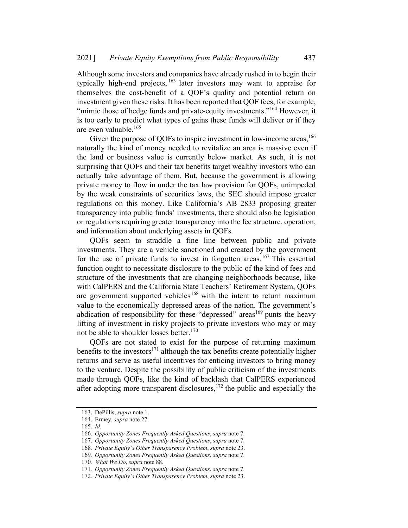Although some investors and companies have already rushed in to begin their typically high-end projects, <sup>163</sup> later investors may want to appraise for themselves the cost-benefit of a QOF's quality and potential return on investment given these risks. It has been reported that QOF fees, for example, "mimic those of hedge funds and private-equity investments."<sup>164</sup> However, it is too early to predict what types of gains these funds will deliver or if they are even valuable.<sup>165</sup>

Given the purpose of QOFs to inspire investment in low-income areas,  $166$ naturally the kind of money needed to revitalize an area is massive even if the land or business value is currently below market. As such, it is not surprising that QOFs and their tax benefits target wealthy investors who can actually take advantage of them. But, because the government is allowing private money to flow in under the tax law provision for QOFs, unimpeded by the weak constraints of securities laws, the SEC should impose greater regulations on this money. Like California's AB 2833 proposing greater transparency into public funds' investments, there should also be legislation or regulations requiring greater transparency into the fee structure, operation, and information about underlying assets in QOFs.

QOFs seem to straddle a fine line between public and private investments. They are a vehicle sanctioned and created by the government for the use of private funds to invest in forgotten areas.<sup>167</sup> This essential function ought to necessitate disclosure to the public of the kind of fees and structure of the investments that are changing neighborhoods because, like with CalPERS and the California State Teachers' Retirement System, QOFs are government supported vehicles<sup>168</sup> with the intent to return maximum value to the economically depressed areas of the nation. The government's abdication of responsibility for these "depressed" areas<sup>169</sup> punts the heavy lifting of investment in risky projects to private investors who may or may not be able to shoulder losses better.<sup>170</sup>

QOFs are not stated to exist for the purpose of returning maximum benefits to the investors<sup>171</sup> although the tax benefits create potentially higher returns and serve as useful incentives for enticing investors to bring money to the venture. Despite the possibility of public criticism of the investments made through QOFs, like the kind of backlash that CalPERS experienced after adopting more transparent disclosures,  $172$  the public and especially the

<sup>163.</sup> DePillis, supra note 1.

<sup>164.</sup> Ermey, supra note 27.

<sup>165</sup>. Id.

<sup>166</sup>. Opportunity Zones Frequently Asked Questions, supra note 7.

<sup>167</sup>. Opportunity Zones Frequently Asked Questions, supra note 7.

<sup>168</sup>. Private Equity's Other Transparency Problem, supra note 23.

<sup>169</sup>. Opportunity Zones Frequently Asked Questions, supra note 7.

<sup>170.</sup> What We Do, supra note 88.

<sup>171</sup>. Opportunity Zones Frequently Asked Questions, supra note 7.

<sup>172</sup>. Private Equity's Other Transparency Problem, supra note 23.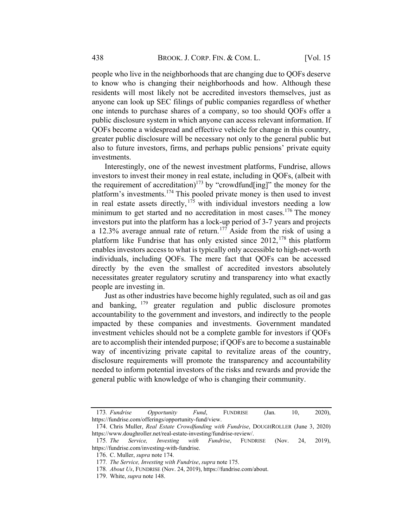people who live in the neighborhoods that are changing due to QOFs deserve to know who is changing their neighborhoods and how. Although these residents will most likely not be accredited investors themselves, just as anyone can look up SEC filings of public companies regardless of whether one intends to purchase shares of a company, so too should QOFs offer a public disclosure system in which anyone can access relevant information. If QOFs become a widespread and effective vehicle for change in this country, greater public disclosure will be necessary not only to the general public but also to future investors, firms, and perhaps public pensions' private equity investments.

Interestingly, one of the newest investment platforms, Fundrise, allows investors to invest their money in real estate, including in QOFs, (albeit with the requirement of accreditation)<sup>173</sup> by "crowdfund[ing]" the money for the platform's investments.<sup>174</sup> This pooled private money is then used to invest in real estate assets directly,  $1^{75}$  with individual investors needing a low minimum to get started and no accreditation in most cases.<sup>176</sup> The money investors put into the platform has a lock-up period of 3-7 years and projects a 12.3% average annual rate of return.<sup>177</sup> Aside from the risk of using a platform like Fundrise that has only existed since  $2012$ ,  $^{178}$  this platform enables investors access to what is typically only accessible to high-net-worth individuals, including QOFs. The mere fact that QOFs can be accessed directly by the even the smallest of accredited investors absolutely necessitates greater regulatory scrutiny and transparency into what exactly people are investing in.

Just as other industries have become highly regulated, such as oil and gas and banking, <sup>179</sup> greater regulation and public disclosure promotes accountability to the government and investors, and indirectly to the people impacted by these companies and investments. Government mandated investment vehicles should not be a complete gamble for investors if QOFs are to accomplish their intended purpose; if QOFs are to become a sustainable way of incentivizing private capital to revitalize areas of the country, disclosure requirements will promote the transparency and accountability needed to inform potential investors of the risks and rewards and provide the general public with knowledge of who is changing their community.

<sup>173</sup>. Fundrise Opportunity Fund, FUNDRISE (Jan. 10, 2020), https://fundrise.com/offerings/opportunity-fund/view.

<sup>174.</sup> Chris Muller, Real Estate Crowdfunding with Fundrise, DOUGHROLLER (June 3, 2020) https://www.doughroller.net/real-estate-investing/fundrise-review/.

<sup>175</sup>. The Service, Investing with Fundrise, FUNDRISE (Nov. 24, 2019), https://fundrise.com/investing-with-fundrise.

<sup>176.</sup> C. Muller, supra note 174.

<sup>177</sup>. The Service, Investing with Fundrise, supra note 175.

<sup>178</sup>. About Us, FUNDRISE (Nov. 24, 2019), https://fundrise.com/about.

<sup>179.</sup> White, *supra* note 148.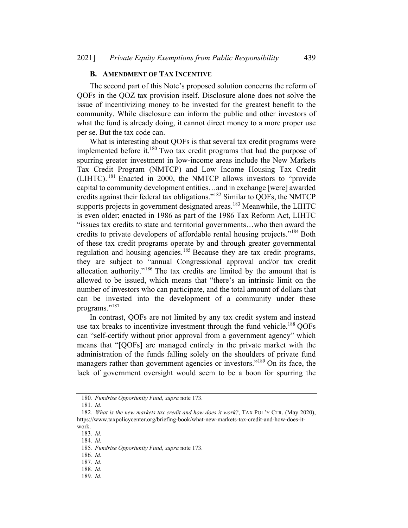#### B. AMENDMENT OF TAX INCENTIVE

The second part of this Note's proposed solution concerns the reform of QOFs in the QOZ tax provision itself. Disclosure alone does not solve the issue of incentivizing money to be invested for the greatest benefit to the community. While disclosure can inform the public and other investors of what the fund is already doing, it cannot direct money to a more proper use per se. But the tax code can.

What is interesting about QOFs is that several tax credit programs were implemented before it. $180$  Two tax credit programs that had the purpose of spurring greater investment in low-income areas include the New Markets Tax Credit Program (NMTCP) and Low Income Housing Tax Credit (LIHTC). <sup>181</sup> Enacted in 2000, the NMTCP allows investors to "provide capital to community development entities…and in exchange [were] awarded credits against their federal tax obligations."182 Similar to QOFs, the NMTCP supports projects in government designated areas.<sup>183</sup> Meanwhile, the LIHTC is even older; enacted in 1986 as part of the 1986 Tax Reform Act, LIHTC "issues tax credits to state and territorial governments…who then award the credits to private developers of affordable rental housing projects."<sup>184</sup> Both of these tax credit programs operate by and through greater governmental regulation and housing agencies.<sup>185</sup> Because they are tax credit programs, they are subject to "annual Congressional approval and/or tax credit allocation authority."<sup>186</sup> The tax credits are limited by the amount that is allowed to be issued, which means that "there's an intrinsic limit on the number of investors who can participate, and the total amount of dollars that can be invested into the development of a community under these programs."<sup>187</sup>

In contrast, QOFs are not limited by any tax credit system and instead use tax breaks to incentivize investment through the fund vehicle.<sup>188</sup> QOFs can "self-certify without prior approval from a government agency" which means that "[QOFs] are managed entirely in the private market with the administration of the funds falling solely on the shoulders of private fund managers rather than government agencies or investors."<sup>189</sup> On its face, the lack of government oversight would seem to be a boon for spurring the

186. Id.

<sup>180</sup>. Fundrise Opportunity Fund, supra note 173.

<sup>181</sup>. Id.

<sup>182</sup>. What is the new markets tax credit and how does it work?, TAX POL'Y CTR. (May 2020), https://www.taxpolicycenter.org/briefing-book/what-new-markets-tax-credit-and-how-does-itwork.

<sup>183</sup>. Id.

<sup>184</sup>. Id.

<sup>185</sup>. Fundrise Opportunity Fund, supra note 173.

<sup>187</sup>. Id.

<sup>188</sup>. Id.

<sup>189</sup>. Id.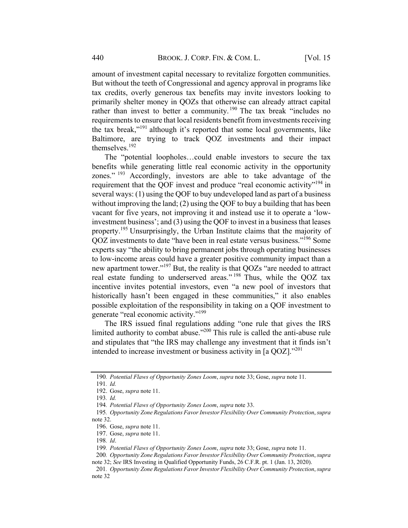amount of investment capital necessary to revitalize forgotten communities. But without the teeth of Congressional and agency approval in programs like tax credits, overly generous tax benefits may invite investors looking to primarily shelter money in QOZs that otherwise can already attract capital rather than invest to better a community.<sup>190</sup> The tax break "includes no requirements to ensure that local residents benefit from investments receiving the tax break,"<sup>191</sup> although it's reported that some local governments, like Baltimore, are trying to track QOZ investments and their impact themselves. 192

The "potential loopholes…could enable investors to secure the tax benefits while generating little real economic activity in the opportunity zones." <sup>193</sup> Accordingly, investors are able to take advantage of the requirement that the QOF invest and produce "real economic activity"<sup>194</sup> in several ways: (1) using the QOF to buy undeveloped land as part of a business without improving the land; (2) using the QOF to buy a building that has been vacant for five years, not improving it and instead use it to operate a 'lowinvestment business'; and (3) using the QOF to invest in a business that leases property.<sup>195</sup> Unsurprisingly, the Urban Institute claims that the majority of QOZ investments to date "have been in real estate versus business."196 Some experts say "the ability to bring permanent jobs through operating businesses to low-income areas could have a greater positive community impact than a new apartment tower."197 But, the reality is that QOZs "are needed to attract real estate funding to underserved areas." <sup>198</sup> Thus, while the QOZ tax incentive invites potential investors, even "a new pool of investors that historically hasn't been engaged in these communities," it also enables possible exploitation of the responsibility in taking on a QOF investment to generate "real economic activity."199

The IRS issued final regulations adding "one rule that gives the IRS limited authority to combat abuse."<sup>200</sup> This rule is called the anti-abuse rule and stipulates that "the IRS may challenge any investment that it finds isn't intended to increase investment or business activity in [a QOZ]."<sup>201</sup>

200. Opportunity Zone Regulations Favor Investor Flexibility Over Community Protection, supra note 32; See IRS Investing in Qualified Opportunity Funds, 26 C.F.R. pt. 1 (Jan. 13, 2020).

<sup>190</sup>. Potential Flaws of Opportunity Zones Loom, supra note 33; Gose, supra note 11.

<sup>191</sup>. Id.

<sup>192.</sup> Gose, supra note 11.

<sup>193</sup>. Id.

<sup>194</sup>. Potential Flaws of Opportunity Zones Loom, supra note 33.

<sup>195.</sup> Opportunity Zone Regulations Favor Investor Flexibility Over Community Protection, supra note 32.

<sup>196.</sup> Gose, supra note 11.

<sup>197.</sup> Gose, supra note 11.

<sup>198</sup>. Id.

<sup>199</sup>. Potential Flaws of Opportunity Zones Loom, supra note 33; Gose, supra note 11.

<sup>201.</sup> Opportunity Zone Regulations Favor Investor Flexibility Over Community Protection, supra note 32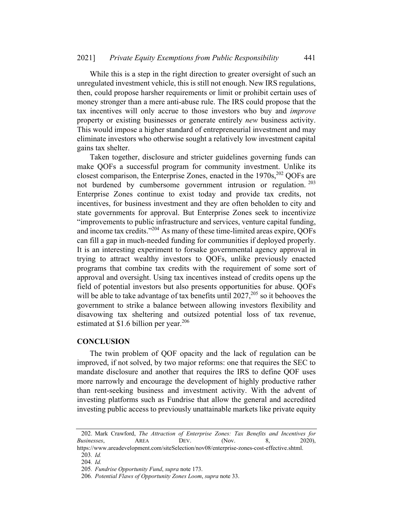While this is a step in the right direction to greater oversight of such an unregulated investment vehicle, this is still not enough. New IRS regulations, then, could propose harsher requirements or limit or prohibit certain uses of money stronger than a mere anti-abuse rule. The IRS could propose that the tax incentives will only accrue to those investors who buy and improve property or existing businesses or generate entirely new business activity. This would impose a higher standard of entrepreneurial investment and may eliminate investors who otherwise sought a relatively low investment capital gains tax shelter.

Taken together, disclosure and stricter guidelines governing funds can make QOFs a successful program for community investment. Unlike its closest comparison, the Enterprise Zones, enacted in the  $1970s$ ,  $202$  QOFs are not burdened by cumbersome government intrusion or regulation.<sup>203</sup> Enterprise Zones continue to exist today and provide tax credits, not incentives, for business investment and they are often beholden to city and state governments for approval. But Enterprise Zones seek to incentivize "improvements to public infrastructure and services, venture capital funding, and income tax credits."204 As many of these time-limited areas expire, QOFs can fill a gap in much-needed funding for communities if deployed properly. It is an interesting experiment to forsake governmental agency approval in trying to attract wealthy investors to QOFs, unlike previously enacted programs that combine tax credits with the requirement of some sort of approval and oversight. Using tax incentives instead of credits opens up the field of potential investors but also presents opportunities for abuse. QOFs will be able to take advantage of tax benefits until  $2027$ ,  $205$  so it behooves the government to strike a balance between allowing investors flexibility and disavowing tax sheltering and outsized potential loss of tax revenue, estimated at \$1.6 billion per year.<sup>206</sup>

#### **CONCLUSION**

The twin problem of QOF opacity and the lack of regulation can be improved, if not solved, by two major reforms: one that requires the SEC to mandate disclosure and another that requires the IRS to define QOF uses more narrowly and encourage the development of highly productive rather than rent-seeking business and investment activity. With the advent of investing platforms such as Fundrise that allow the general and accredited investing public access to previously unattainable markets like private equity

<sup>202.</sup> Mark Crawford, The Attraction of Enterprise Zones: Tax Benefits and Incentives for Businesses, AREA DEV. (Nov. 8, 2020),

https://www.areadevelopment.com/siteSelection/nov08/enterprise-zones-cost-effective.shtml. 203. Id.

<sup>204</sup>. Id.

<sup>205</sup>. Fundrise Opportunity Fund, supra note 173.

<sup>206</sup>. Potential Flaws of Opportunity Zones Loom, supra note 33.